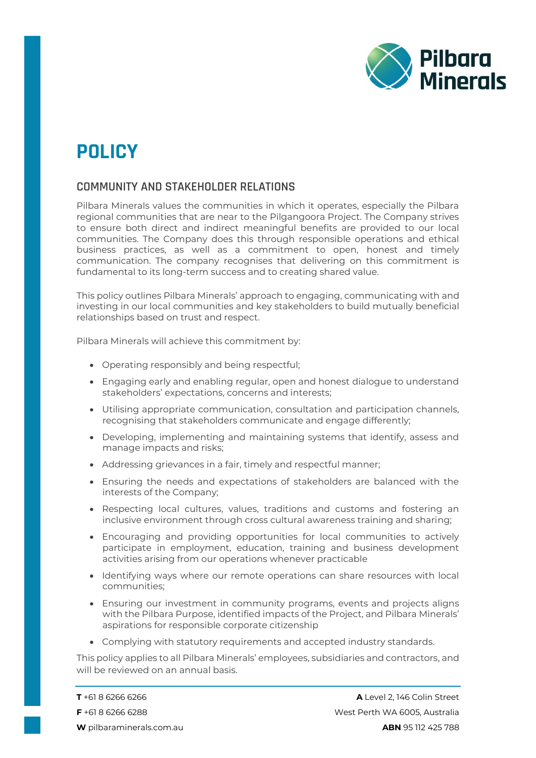

## **POLICY**

## **COMMUNITY AND STAKEHOLDER RELATIONS**

Pilbara Minerals values the communities in which it operates, especially the Pilbara regional communities that are near to the Pilgangoora Project. The Company strives to ensure both direct and indirect meaningful benefits are provided to our local communities. The Company does this through responsible operations and ethical business practices, as well as a commitment to open, honest and timely communication. The company recognises that delivering on this commitment is fundamental to its long-term success and to creating shared value.

This policy outlines Pilbara Minerals' approach to engaging, communicating with and investing in our local communities and key stakeholders to build mutually beneficial relationships based on trust and respect.

Pilbara Minerals will achieve this commitment by:

- Operating responsibly and being respectful;
- Engaging early and enabling regular, open and honest dialogue to understand stakeholders' expectations, concerns and interests;
- Utilising appropriate communication, consultation and participation channels, recognising that stakeholders communicate and engage differently;
- Developing, implementing and maintaining systems that identify, assess and manage impacts and risks;
- Addressing grievances in a fair, timely and respectful manner;
- Ensuring the needs and expectations of stakeholders are balanced with the interests of the Company;
- Respecting local cultures, values, traditions and customs and fostering an inclusive environment through cross cultural awareness training and sharing;
- Encouraging and providing opportunities for local communities to actively participate in employment, education, training and business development activities arising from our operations whenever practicable
- Identifying ways where our remote operations can share resources with local communities;
- Ensuring our investment in community programs, events and projects aligns with the Pilbara Purpose, identified impacts of the Project, and Pilbara Minerals' aspirations for responsible corporate citizenship
- Complying with statutory requirements and accepted industry standards.

This policy applies to all Pilbara Minerals' employees, subsidiaries and contractors, and will be reviewed on an annual basis.